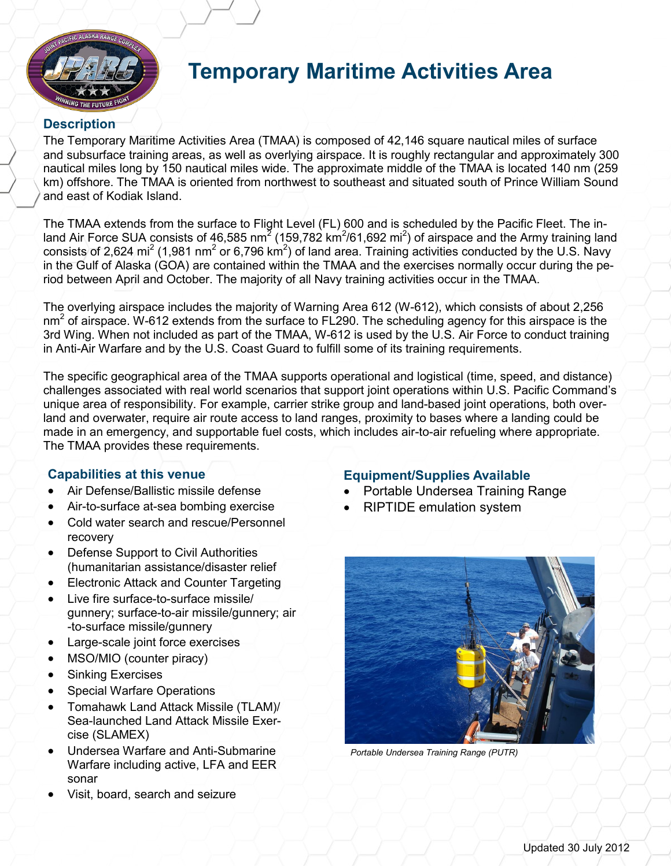

## **Temporary Maritime Activities Area**

## **Description**

The Temporary Maritime Activities Area (TMAA) is composed of 42,146 square nautical miles of surface and subsurface training areas, as well as overlying airspace. It is roughly rectangular and approximately 300 nautical miles long by 150 nautical miles wide. The approximate middle of the TMAA is located 140 nm (259 km) offshore. The TMAA is oriented from northwest to southeast and situated south of Prince William Sound and east of Kodiak Island.

The TMAA extends from the surface to Flight Level (FL) 600 and is scheduled by the Pacific Fleet. The inland Air Force SUA consists of 46,585 nm<sup>2</sup> (159,782 km<sup>2</sup>/61,692 mi<sup>2</sup>) of airspace and the Army training land consists of 2,624 mi<sup>2</sup> (1,981 nm<sup>2</sup> or 6,796 km<sup>2</sup>) of land area. Training activities conducted by the U.S. Navy in the Gulf of Alaska (GOA) are contained within the TMAA and the exercises normally occur during the period between April and October. The majority of all Navy training activities occur in the TMAA.

The overlying airspace includes the majority of Warning Area 612 (W-612), which consists of about 2,256  $nm<sup>2</sup>$  of airspace. W-612 extends from the surface to FL290. The scheduling agency for this airspace is the 3rd Wing. When not included as part of the TMAA, W-612 is used by the U.S. Air Force to conduct training in Anti-Air Warfare and by the U.S. Coast Guard to fulfill some of its training requirements.

The specific geographical area of the TMAA supports operational and logistical (time, speed, and distance) challenges associated with real world scenarios that support joint operations within U.S. Pacific Command's unique area of responsibility. For example, carrier strike group and land-based joint operations, both overland and overwater, require air route access to land ranges, proximity to bases where a landing could be made in an emergency, and supportable fuel costs, which includes air-to-air refueling where appropriate. The TMAA provides these requirements.

## **Capabilities at this venue**

- Air Defense/Ballistic missile defense
- Air-to-surface at-sea bombing exercise
- Cold water search and rescue/Personnel recovery
- Defense Support to Civil Authorities (humanitarian assistance/disaster relief
- Electronic Attack and Counter Targeting
- Live fire surface-to-surface missile/ gunnery; surface-to-air missile/gunnery; air -to-surface missile/gunnery
- Large-scale joint force exercises
- MSO/MIO (counter piracy)
- Sinking Exercises
- Special Warfare Operations
- Tomahawk Land Attack Missile (TLAM)/ Sea-launched Land Attack Missile Exercise (SLAMEX)
- Undersea Warfare and Anti-Submarine Warfare including active, LFA and EER sonar
- Visit, board, search and seizure

## **Equipment/Supplies Available**

- Portable Undersea Training Range
- RIPTIDE emulation system



*Portable Undersea Training Range (PUTR)*